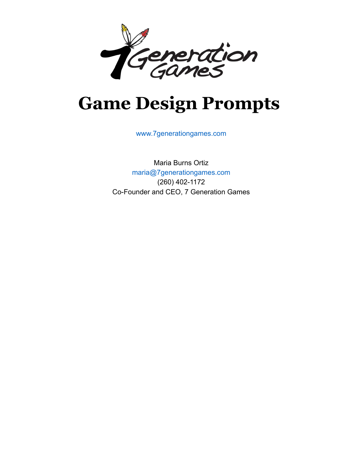

# **Game Design Prompts**

www.7generationgames.com

Maria Burns Ortiz maria@7generationgames.com (260) 402-1172 Co-Founder and CEO, 7 Generation Games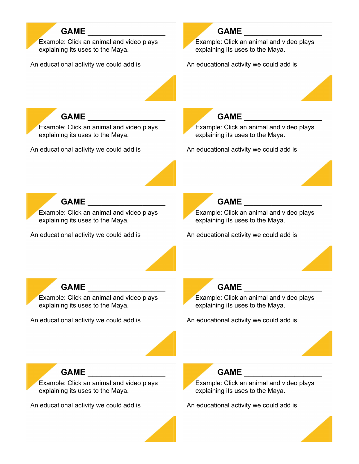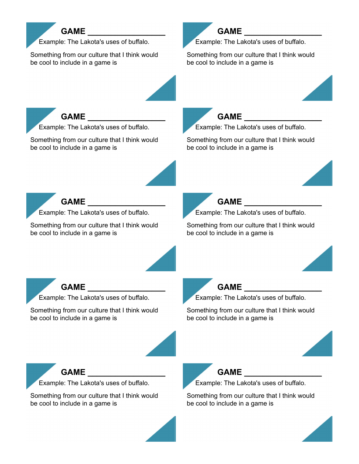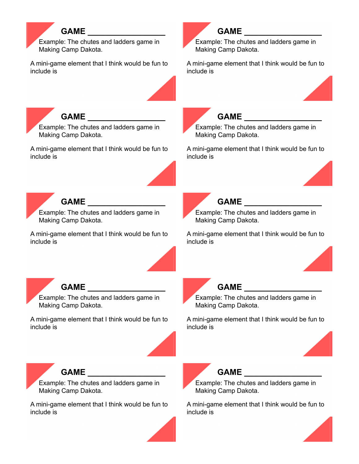### **GAME \_\_\_\_\_\_\_\_\_\_\_\_\_\_\_\_\_** Example: The chutes and ladders game in Making Camp Dakota. A mini-game element that I think would be fun to include is GAME **with a set of the set of the set of the set of the set of the set of the set of the set of the set of the set of the set of the set of the set of the set of the set of the set of the set of the set of the set of the** Example: The chutes and ladders game in Making Camp Dakota. A mini-game element that I think would be fun to include is GAME Example: The chutes and ladders game in Making Camp Dakota. A mini-game element that I think would be fun to include is GAME Example: The chutes and ladders game in Making Camp Dakota. A mini-game element that I think would be fun to include is GAME **and a set of the set of the set of the set of the set of the set of the set of the set of the set of the set of the set of the set of the set of the set of the set of the set of the set of the set of the set of the s** Example: The chutes and ladders game in Making Camp Dakota. A mini-game element that I think would be fun to include is GAME Example: The chutes and ladders game in Making Camp Dakota. A mini-game element that I think would be fun to include is **GAME \_\_\_\_\_\_\_\_\_\_\_\_\_\_\_\_\_** Example: The chutes and ladders game in Making Camp Dakota. A mini-game element that I think would be fun to include is **GAME \_\_\_\_\_\_\_\_\_\_\_\_\_\_\_\_\_** Example: The chutes and ladders game in Making Camp Dakota. A mini-game element that I think would be fun to include is GAME **and a set of the set of the set of the set of the set of the set of the set of the set of the set of the set of the set of the set of the set of the set of the set of the set of the set of the set of the set of the s** Example: The chutes and ladders game in Making Camp Dakota. A mini-game element that I think would be fun to include is GAME **ALCOHOLY** Example: The chutes and ladders game in Making Camp Dakota. A mini-game element that I think would be fun to include is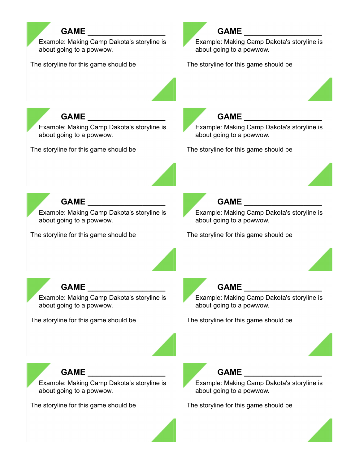